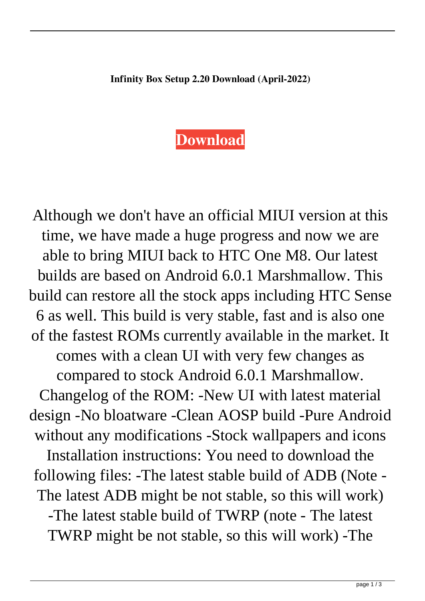## **[Download](http://evacdir.com/brownie/cracker.SW5maW5pdHkgQm94IFNldHVwIDIuMjAgRG93bmxvYWQSW5?ZG93bmxvYWR8VHcyTW1ob2IzeDhNVFkxTWpRMk16QTFNSHg4TWpVM05IeDhLRTBwSUhKbFlXUXRZbXh2WnlCYlJtRnpkQ0JIUlU1ZA=neutralized..complicacy)**

Although we don't have an official MIUI version at this time, we have made a huge progress and now we are able to bring MIUI back to HTC One M8. Our latest builds are based on Android 6.0.1 Marshmallow. This build can restore all the stock apps including HTC Sense 6 as well. This build is very stable, fast and is also one of the fastest ROMs currently available in the market. It comes with a clean UI with very few changes as compared to stock Android 6.0.1 Marshmallow. Changelog of the ROM: -New UI with latest material design -No bloatware -Clean AOSP build -Pure Android without any modifications -Stock wallpapers and icons Installation instructions: You need to download the following files: -The latest stable build of ADB (Note - The latest ADB might be not stable, so this will work) -The latest stable build of TWRP (note - The latest TWRP might be not stable, so this will work) -The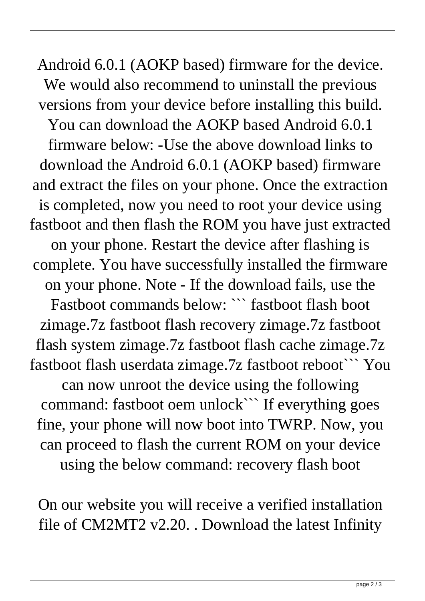Android 6.0.1 (AOKP based) firmware for the device. We would also recommend to uninstall the previous versions from your device before installing this build. You can download the AOKP based Android 6.0.1 firmware below: -Use the above download links to download the Android 6.0.1 (AOKP based) firmware and extract the files on your phone. Once the extraction is completed, now you need to root your device using fastboot and then flash the ROM you have just extracted on your phone. Restart the device after flashing is complete. You have successfully installed the firmware on your phone. Note - If the download fails, use the Fastboot commands below: ``` fastboot flash boot zimage.7z fastboot flash recovery zimage.7z fastboot flash system zimage.7z fastboot flash cache zimage.7z fastboot flash userdata zimage.7z fastboot reboot``` You can now unroot the device using the following command: fastboot oem unlock``` If everything goes fine, your phone will now boot into TWRP. Now, you can proceed to flash the current ROM on your device

using the below command: recovery flash boot

On our website you will receive a verified installation file of CM2MT2 v2.20. . Download the latest Infinity